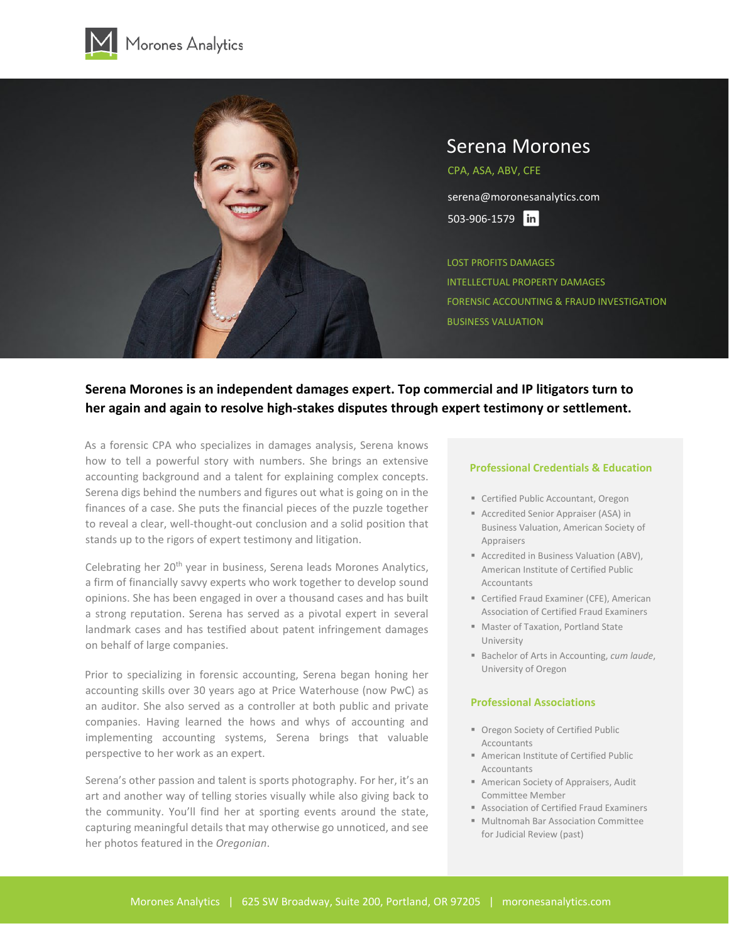



# **Serena Morones is an independent damages expert. Top commercial and IP litigators turn to her again and again to resolve high-stakes disputes through expert testimony or settlement.**

As a forensic CPA who specializes in damages analysis, Serena knows how to tell a powerful story with numbers. She brings an extensive accounting background and a talent for explaining complex concepts. Serena digs behind the numbers and figures out what is going on in the finances of a case. She puts the financial pieces of the puzzle together to reveal a clear, well-thought-out conclusion and a solid position that stands up to the rigors of expert testimony and litigation.

Celebrating her 20<sup>th</sup> year in business, Serena leads Morones Analytics, a firm of financially savvy experts who work together to develop sound opinions. She has been engaged in over a thousand cases and has built a strong reputation. Serena has served as a pivotal expert in several landmark cases and has testified about patent infringement damages on behalf of large companies.

Prior to specializing in forensic accounting, Serena began honing her accounting skills over 30 years ago at Price Waterhouse (now PwC) as an auditor. She also served as a controller at both public and private companies. Having learned the hows and whys of accounting and implementing accounting systems, Serena brings that valuable perspective to her work as an expert.

Serena's other passion and talent is sports photography. For her, it's an art and another way of telling stories visually while also giving back to the community. You'll find her at sporting events around the state, capturing meaningful details that may otherwise go unnoticed, and see her photos featured in the *Oregonian*.

#### **Professional Credentials & Education**

- **E** Certified Public Accountant, Oregon
- Accredited Senior Appraiser (ASA) in Business Valuation, American Society of Appraisers
- Accredited in Business Valuation (ABV), American Institute of Certified Public **Accountants**
- Certified Fraud Examiner (CFE), American Association of Certified Fraud Examiners
- Master of Taxation, Portland State University
- Bachelor of Arts in Accounting, *cum laude*, University of Oregon

# **Professional Associations**

- Oregon Society of Certified Public Accountants
- American Institute of Certified Public Accountants
- **American Society of Appraisers, Audit** Committee Member
- Association of Certified Fraud Examiners
- Multnomah Bar Association Committee for Judicial Review (past)